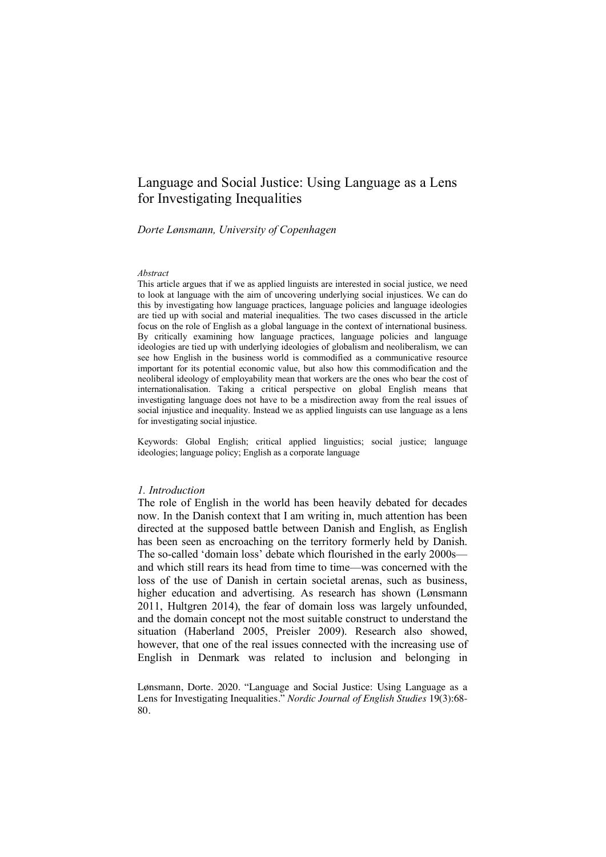# Language and Social Justice: Using Language as a Lens for Investigating Inequalities

# *Dorte Lønsmann, University of Copenhagen*

#### *Abstract*

This article argues that if we as applied linguists are interested in social justice, we need to look at language with the aim of uncovering underlying social injustices. We can do this by investigating how language practices, language policies and language ideologies are tied up with social and material inequalities. The two cases discussed in the article focus on the role of English as a global language in the context of international business. By critically examining how language practices, language policies and language ideologies are tied up with underlying ideologies of globalism and neoliberalism, we can see how English in the business world is commodified as a communicative resource important for its potential economic value, but also how this commodification and the neoliberal ideology of employability mean that workers are the ones who bear the cost of internationalisation. Taking a critical perspective on global English means that investigating language does not have to be a misdirection away from the real issues of social injustice and inequality. Instead we as applied linguists can use language as a lens for investigating social injustice.

Keywords: Global English; critical applied linguistics; social justice; language ideologies; language policy; English as a corporate language

#### *1. Introduction*

The role of English in the world has been heavily debated for decades now. In the Danish context that I am writing in, much attention has been directed at the supposed battle between Danish and English, as English has been seen as encroaching on the territory formerly held by Danish. The so-called 'domain loss' debate which flourished in the early 2000s and which still rears its head from time to time—was concerned with the loss of the use of Danish in certain societal arenas, such as business, higher education and advertising. As research has shown (Lønsmann 2011, Hultgren 2014), the fear of domain loss was largely unfounded, and the domain concept not the most suitable construct to understand the situation (Haberland 2005, Preisler 2009). Research also showed, however, that one of the real issues connected with the increasing use of English in Denmark was related to inclusion and belonging in

Lønsmann, Dorte. 2020. "Language and Social Justice: Using Language as a Lens for Investigating Inequalities." *Nordic Journal of English Studies* 19(3):68- 80.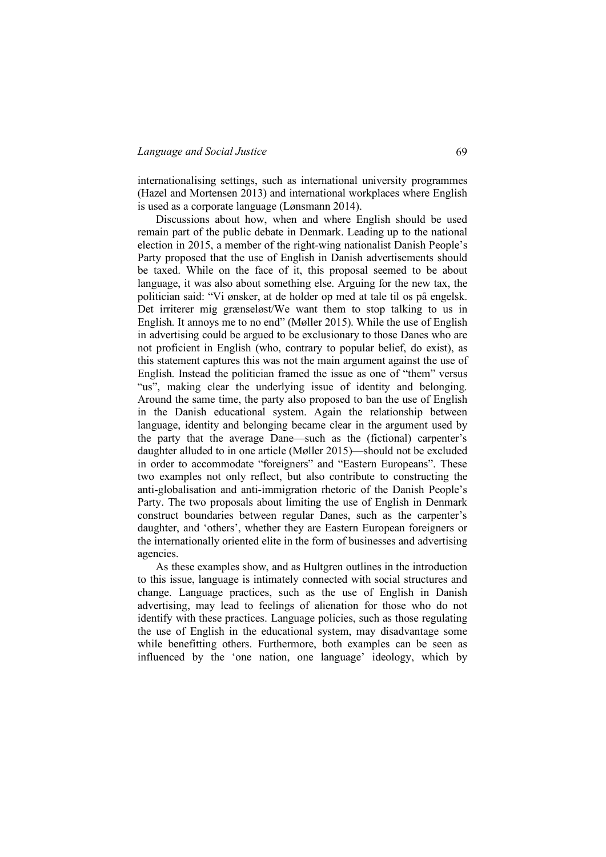## *Language and Social Justice* 69

internationalising settings, such as international university programmes (Hazel and Mortensen 2013) and international workplaces where English is used as a corporate language (Lønsmann 2014).

Discussions about how, when and where English should be used remain part of the public debate in Denmark. Leading up to the national election in 2015, a member of the right-wing nationalist Danish People's Party proposed that the use of English in Danish advertisements should be taxed. While on the face of it, this proposal seemed to be about language, it was also about something else. Arguing for the new tax, the politician said: "Vi ønsker, at de holder op med at tale til os på engelsk. Det irriterer mig grænseløst/We want them to stop talking to us in English. It annoys me to no end" (Møller 2015). While the use of English in advertising could be argued to be exclusionary to those Danes who are not proficient in English (who, contrary to popular belief, do exist), as this statement captures this was not the main argument against the use of English. Instead the politician framed the issue as one of "them" versus "us", making clear the underlying issue of identity and belonging. Around the same time, the party also proposed to ban the use of English in the Danish educational system. Again the relationship between language, identity and belonging became clear in the argument used by the party that the average Dane—such as the (fictional) carpenter's daughter alluded to in one article (Møller 2015)—should not be excluded in order to accommodate "foreigners" and "Eastern Europeans". These two examples not only reflect, but also contribute to constructing the anti-globalisation and anti-immigration rhetoric of the Danish People's Party. The two proposals about limiting the use of English in Denmark construct boundaries between regular Danes, such as the carpenter's daughter, and 'others', whether they are Eastern European foreigners or the internationally oriented elite in the form of businesses and advertising agencies.

As these examples show, and as Hultgren outlines in the introduction to this issue, language is intimately connected with social structures and change. Language practices, such as the use of English in Danish advertising, may lead to feelings of alienation for those who do not identify with these practices. Language policies, such as those regulating the use of English in the educational system, may disadvantage some while benefitting others. Furthermore, both examples can be seen as influenced by the 'one nation, one language' ideology, which by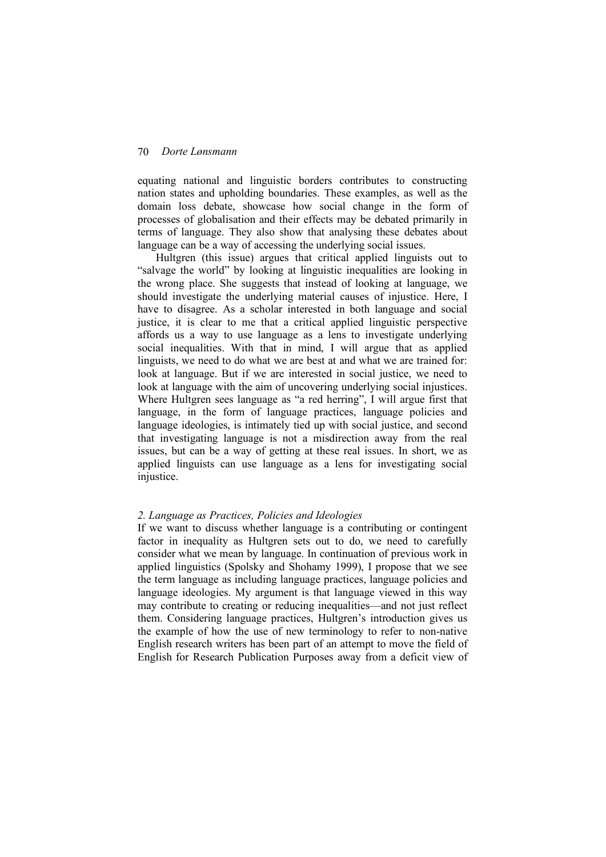equating national and linguistic borders contributes to constructing nation states and upholding boundaries. These examples, as well as the domain loss debate, showcase how social change in the form of processes of globalisation and their effects may be debated primarily in terms of language. They also show that analysing these debates about language can be a way of accessing the underlying social issues.

Hultgren (this issue) argues that critical applied linguists out to "salvage the world" by looking at linguistic inequalities are looking in the wrong place. She suggests that instead of looking at language, we should investigate the underlying material causes of injustice. Here, I have to disagree. As a scholar interested in both language and social justice, it is clear to me that a critical applied linguistic perspective affords us a way to use language as a lens to investigate underlying social inequalities. With that in mind, I will argue that as applied linguists, we need to do what we are best at and what we are trained for: look at language. But if we are interested in social justice, we need to look at language with the aim of uncovering underlying social injustices. Where Hultgren sees language as "a red herring", I will argue first that language, in the form of language practices, language policies and language ideologies, is intimately tied up with social justice, and second that investigating language is not a misdirection away from the real issues, but can be a way of getting at these real issues. In short, we as applied linguists can use language as a lens for investigating social injustice.

#### *2. Language as Practices, Policies and Ideologies*

If we want to discuss whether language is a contributing or contingent factor in inequality as Hultgren sets out to do, we need to carefully consider what we mean by language. In continuation of previous work in applied linguistics (Spolsky and Shohamy 1999), I propose that we see the term language as including language practices, language policies and language ideologies. My argument is that language viewed in this way may contribute to creating or reducing inequalities—and not just reflect them. Considering language practices, Hultgren's introduction gives us the example of how the use of new terminology to refer to non-native English research writers has been part of an attempt to move the field of English for Research Publication Purposes away from a deficit view of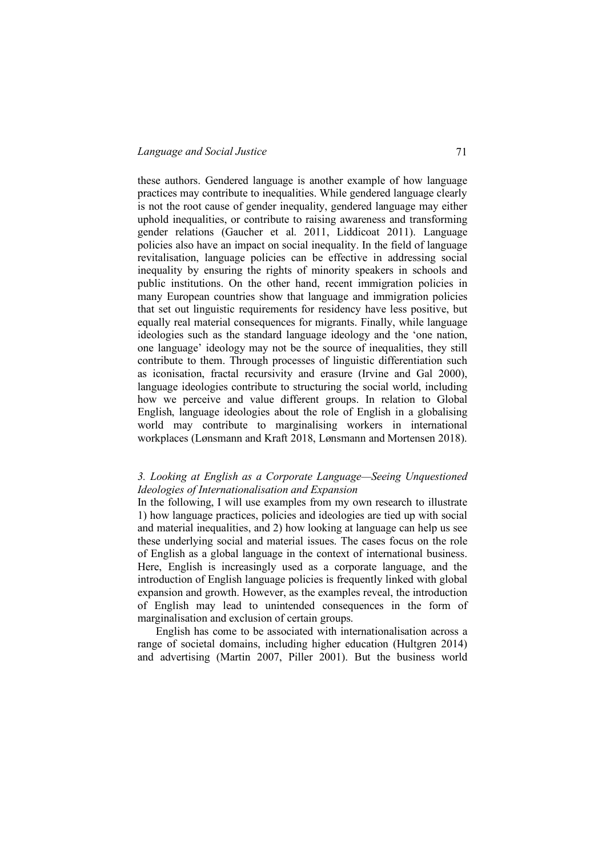## *Language and Social Justice* 71

these authors. Gendered language is another example of how language practices may contribute to inequalities. While gendered language clearly is not the root cause of gender inequality, gendered language may either uphold inequalities, or contribute to raising awareness and transforming gender relations (Gaucher et al. 2011, Liddicoat 2011). Language policies also have an impact on social inequality. In the field of language revitalisation, language policies can be effective in addressing social inequality by ensuring the rights of minority speakers in schools and public institutions. On the other hand, recent immigration policies in many European countries show that language and immigration policies that set out linguistic requirements for residency have less positive, but equally real material consequences for migrants. Finally, while language ideologies such as the standard language ideology and the 'one nation, one language' ideology may not be the source of inequalities, they still contribute to them. Through processes of linguistic differentiation such as iconisation, fractal recursivity and erasure (Irvine and Gal 2000), language ideologies contribute to structuring the social world, including how we perceive and value different groups. In relation to Global English, language ideologies about the role of English in a globalising world may contribute to marginalising workers in international workplaces (Lønsmann and Kraft 2018, Lønsmann and Mortensen 2018).

# *3. Looking at English as a Corporate Language—Seeing Unquestioned Ideologies of Internationalisation and Expansion*

In the following, I will use examples from my own research to illustrate 1) how language practices, policies and ideologies are tied up with social and material inequalities, and 2) how looking at language can help us see these underlying social and material issues. The cases focus on the role of English as a global language in the context of international business. Here, English is increasingly used as a corporate language, and the introduction of English language policies is frequently linked with global expansion and growth. However, as the examples reveal, the introduction of English may lead to unintended consequences in the form of marginalisation and exclusion of certain groups.

English has come to be associated with internationalisation across a range of societal domains, including higher education (Hultgren 2014) and advertising (Martin 2007, Piller 2001). But the business world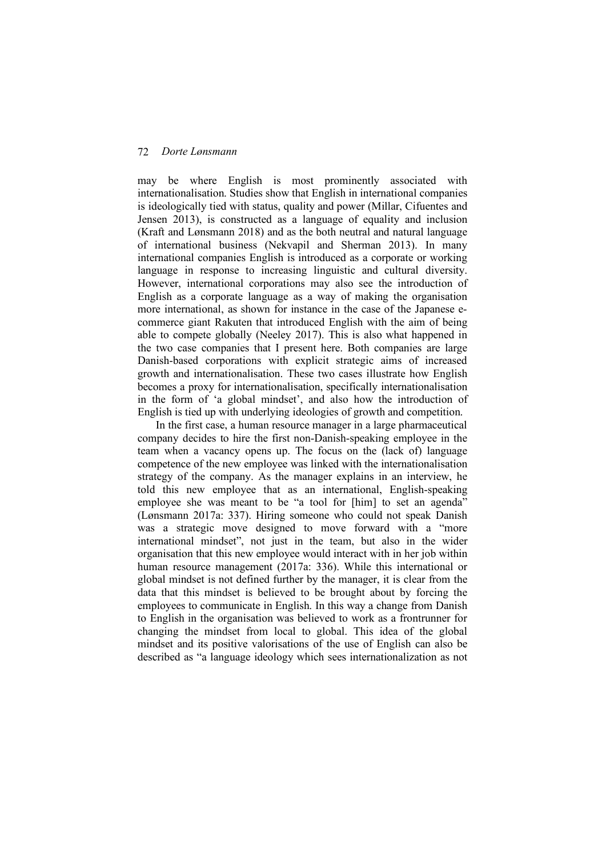may be where English is most prominently associated with internationalisation. Studies show that English in international companies is ideologically tied with status, quality and power (Millar, Cifuentes and Jensen 2013), is constructed as a language of equality and inclusion (Kraft and Lønsmann 2018) and as the both neutral and natural language of international business (Nekvapil and Sherman 2013). In many international companies English is introduced as a corporate or working language in response to increasing linguistic and cultural diversity. However, international corporations may also see the introduction of English as a corporate language as a way of making the organisation more international, as shown for instance in the case of the Japanese ecommerce giant Rakuten that introduced English with the aim of being able to compete globally (Neeley 2017). This is also what happened in the two case companies that I present here. Both companies are large Danish-based corporations with explicit strategic aims of increased growth and internationalisation. These two cases illustrate how English becomes a proxy for internationalisation, specifically internationalisation in the form of 'a global mindset', and also how the introduction of English is tied up with underlying ideologies of growth and competition.

In the first case, a human resource manager in a large pharmaceutical company decides to hire the first non-Danish-speaking employee in the team when a vacancy opens up. The focus on the (lack of) language competence of the new employee was linked with the internationalisation strategy of the company. As the manager explains in an interview, he told this new employee that as an international, English-speaking employee she was meant to be "a tool for [him] to set an agenda" (Lønsmann 2017a: 337). Hiring someone who could not speak Danish was a strategic move designed to move forward with a "more international mindset", not just in the team, but also in the wider organisation that this new employee would interact with in her job within human resource management (2017a: 336). While this international or global mindset is not defined further by the manager, it is clear from the data that this mindset is believed to be brought about by forcing the employees to communicate in English. In this way a change from Danish to English in the organisation was believed to work as a frontrunner for changing the mindset from local to global. This idea of the global mindset and its positive valorisations of the use of English can also be described as "a language ideology which sees internationalization as not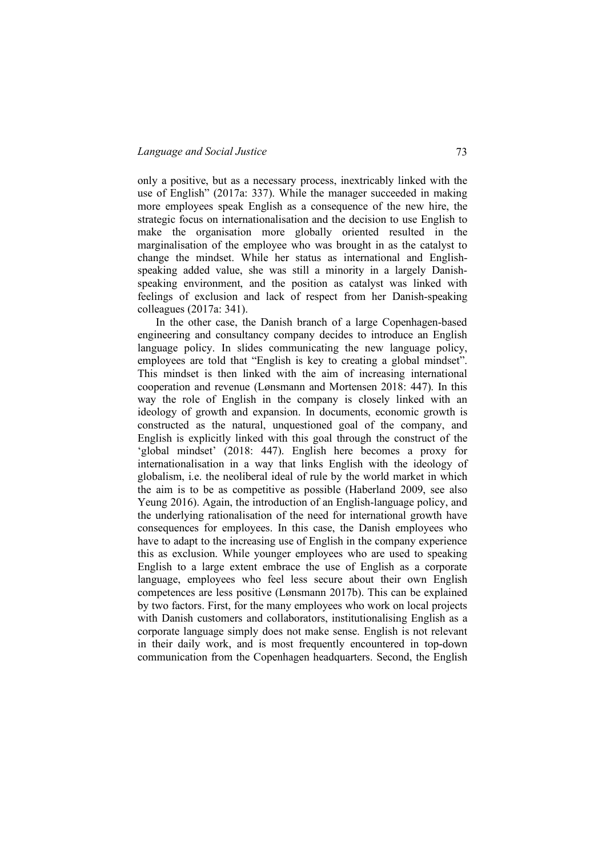only a positive, but as a necessary process, inextricably linked with the use of English" (2017a: 337). While the manager succeeded in making more employees speak English as a consequence of the new hire, the strategic focus on internationalisation and the decision to use English to make the organisation more globally oriented resulted in the marginalisation of the employee who was brought in as the catalyst to change the mindset. While her status as international and Englishspeaking added value, she was still a minority in a largely Danishspeaking environment, and the position as catalyst was linked with feelings of exclusion and lack of respect from her Danish-speaking colleagues (2017a: 341).

In the other case, the Danish branch of a large Copenhagen-based engineering and consultancy company decides to introduce an English language policy. In slides communicating the new language policy, employees are told that "English is key to creating a global mindset". This mindset is then linked with the aim of increasing international cooperation and revenue (Lønsmann and Mortensen 2018: 447). In this way the role of English in the company is closely linked with an ideology of growth and expansion. In documents, economic growth is constructed as the natural, unquestioned goal of the company, and English is explicitly linked with this goal through the construct of the 'global mindset' (2018: 447). English here becomes a proxy for internationalisation in a way that links English with the ideology of globalism, i.e. the neoliberal ideal of rule by the world market in which the aim is to be as competitive as possible (Haberland 2009, see also Yeung 2016). Again, the introduction of an English-language policy, and the underlying rationalisation of the need for international growth have consequences for employees. In this case, the Danish employees who have to adapt to the increasing use of English in the company experience this as exclusion. While younger employees who are used to speaking English to a large extent embrace the use of English as a corporate language, employees who feel less secure about their own English competences are less positive (Lønsmann 2017b). This can be explained by two factors. First, for the many employees who work on local projects with Danish customers and collaborators, institutionalising English as a corporate language simply does not make sense. English is not relevant in their daily work, and is most frequently encountered in top-down communication from the Copenhagen headquarters. Second, the English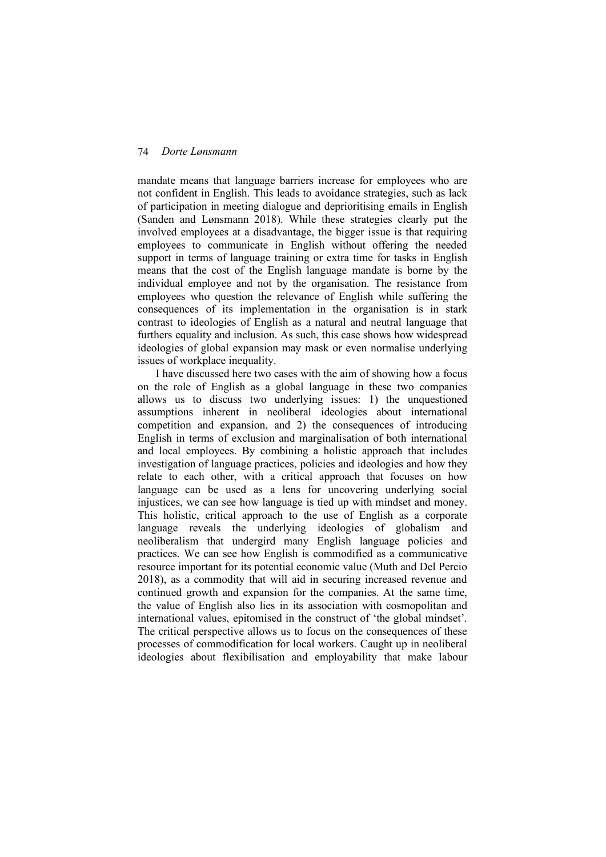mandate means that language barriers increase for employees who are not confident in English. This leads to avoidance strategies, such as lack of participation in meeting dialogue and deprioritising emails in English (Sanden and Lønsmann 2018). While these strategies clearly put the involved employees at a disadvantage, the bigger issue is that requiring employees to communicate in English without offering the needed support in terms of language training or extra time for tasks in English means that the cost of the English language mandate is borne by the individual employee and not by the organisation. The resistance from employees who question the relevance of English while suffering the consequences of its implementation in the organisation is in stark contrast to ideologies of English as a natural and neutral language that furthers equality and inclusion. As such, this case shows how widespread ideologies of global expansion may mask or even normalise underlying issues of workplace inequality.

I have discussed here two cases with the aim of showing how a focus on the role of English as a global language in these two companies allows us to discuss two underlying issues: 1) the unquestioned assumptions inherent in neoliberal ideologies about international competition and expansion, and 2) the consequences of introducing English in terms of exclusion and marginalisation of both international and local employees. By combining a holistic approach that includes investigation of language practices, policies and ideologies and how they relate to each other, with a critical approach that focuses on how language can be used as a lens for uncovering underlying social injustices, we can see how language is tied up with mindset and money. This holistic, critical approach to the use of English as a corporate language reveals the underlying ideologies of globalism and neoliberalism that undergird many English language policies and practices. We can see how English is commodified as a communicative resource important for its potential economic value (Muth and Del Percio 2018), as a commodity that will aid in securing increased revenue and continued growth and expansion for the companies. At the same time, the value of English also lies in its association with cosmopolitan and international values, epitomised in the construct of 'the global mindset'. The critical perspective allows us to focus on the consequences of these processes of commodification for local workers. Caught up in neoliberal ideologies about flexibilisation and employability that make labour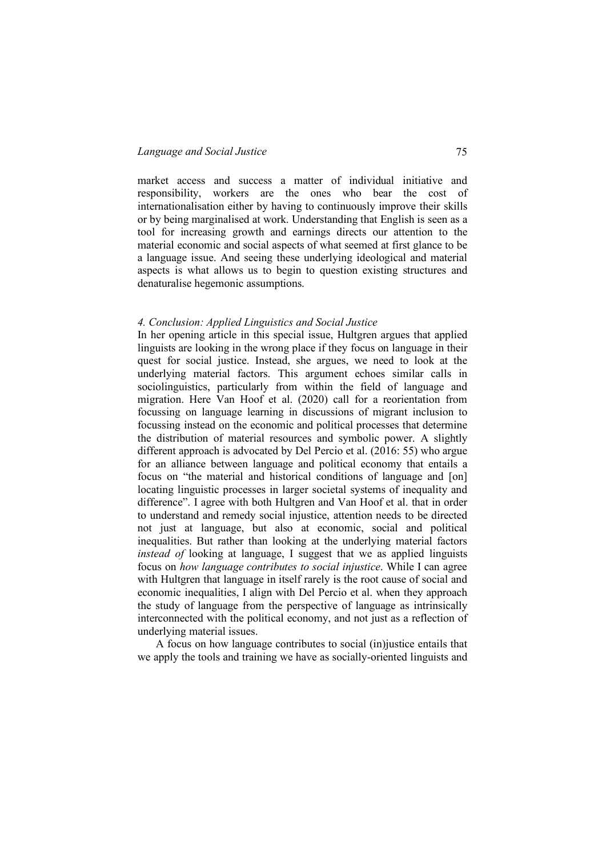market access and success a matter of individual initiative and responsibility, workers are the ones who bear the cost of internationalisation either by having to continuously improve their skills or by being marginalised at work. Understanding that English is seen as a tool for increasing growth and earnings directs our attention to the material economic and social aspects of what seemed at first glance to be a language issue. And seeing these underlying ideological and material aspects is what allows us to begin to question existing structures and denaturalise hegemonic assumptions.

#### *4. Conclusion: Applied Linguistics and Social Justice*

In her opening article in this special issue, Hultgren argues that applied linguists are looking in the wrong place if they focus on language in their quest for social justice. Instead, she argues, we need to look at the underlying material factors. This argument echoes similar calls in sociolinguistics, particularly from within the field of language and migration. Here Van Hoof et al. (2020) call for a reorientation from focussing on language learning in discussions of migrant inclusion to focussing instead on the economic and political processes that determine the distribution of material resources and symbolic power. A slightly different approach is advocated by Del Percio et al. (2016: 55) who argue for an alliance between language and political economy that entails a focus on "the material and historical conditions of language and [on] locating linguistic processes in larger societal systems of inequality and difference". I agree with both Hultgren and Van Hoof et al. that in order to understand and remedy social injustice, attention needs to be directed not just at language, but also at economic, social and political inequalities. But rather than looking at the underlying material factors *instead of looking at language*, I suggest that we as applied linguists focus on *how language contributes to social injustice*. While I can agree with Hultgren that language in itself rarely is the root cause of social and economic inequalities, I align with Del Percio et al. when they approach the study of language from the perspective of language as intrinsically interconnected with the political economy, and not just as a reflection of underlying material issues.

A focus on how language contributes to social (in)justice entails that we apply the tools and training we have as socially-oriented linguists and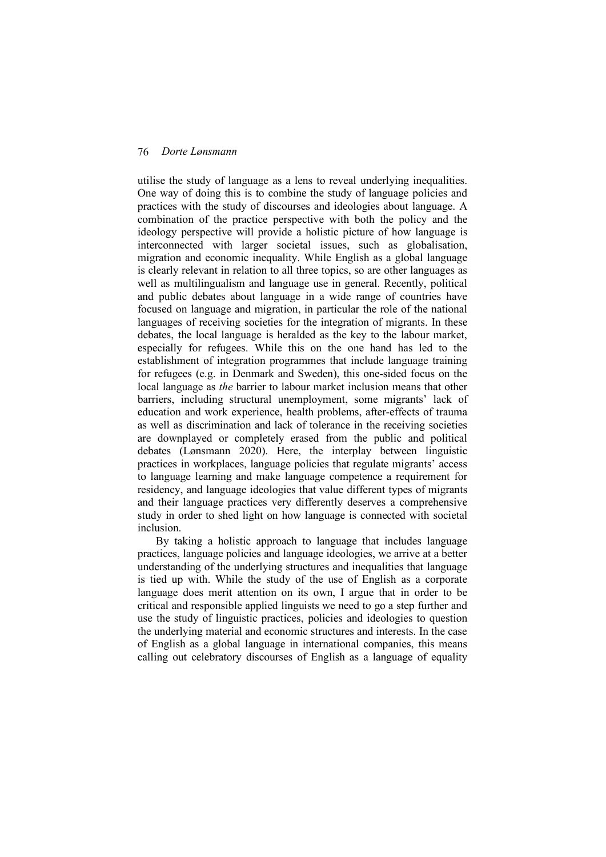utilise the study of language as a lens to reveal underlying inequalities. One way of doing this is to combine the study of language policies and practices with the study of discourses and ideologies about language. A combination of the practice perspective with both the policy and the ideology perspective will provide a holistic picture of how language is interconnected with larger societal issues, such as globalisation, migration and economic inequality. While English as a global language is clearly relevant in relation to all three topics, so are other languages as well as multilingualism and language use in general. Recently, political and public debates about language in a wide range of countries have focused on language and migration, in particular the role of the national languages of receiving societies for the integration of migrants. In these debates, the local language is heralded as the key to the labour market, especially for refugees. While this on the one hand has led to the establishment of integration programmes that include language training for refugees (e.g. in Denmark and Sweden), this one-sided focus on the local language as *the* barrier to labour market inclusion means that other barriers, including structural unemployment, some migrants' lack of education and work experience, health problems, after-effects of trauma as well as discrimination and lack of tolerance in the receiving societies are downplayed or completely erased from the public and political debates (Lønsmann 2020). Here, the interplay between linguistic practices in workplaces, language policies that regulate migrants' access to language learning and make language competence a requirement for residency, and language ideologies that value different types of migrants and their language practices very differently deserves a comprehensive study in order to shed light on how language is connected with societal inclusion.

By taking a holistic approach to language that includes language practices, language policies and language ideologies, we arrive at a better understanding of the underlying structures and inequalities that language is tied up with. While the study of the use of English as a corporate language does merit attention on its own, I argue that in order to be critical and responsible applied linguists we need to go a step further and use the study of linguistic practices, policies and ideologies to question the underlying material and economic structures and interests. In the case of English as a global language in international companies, this means calling out celebratory discourses of English as a language of equality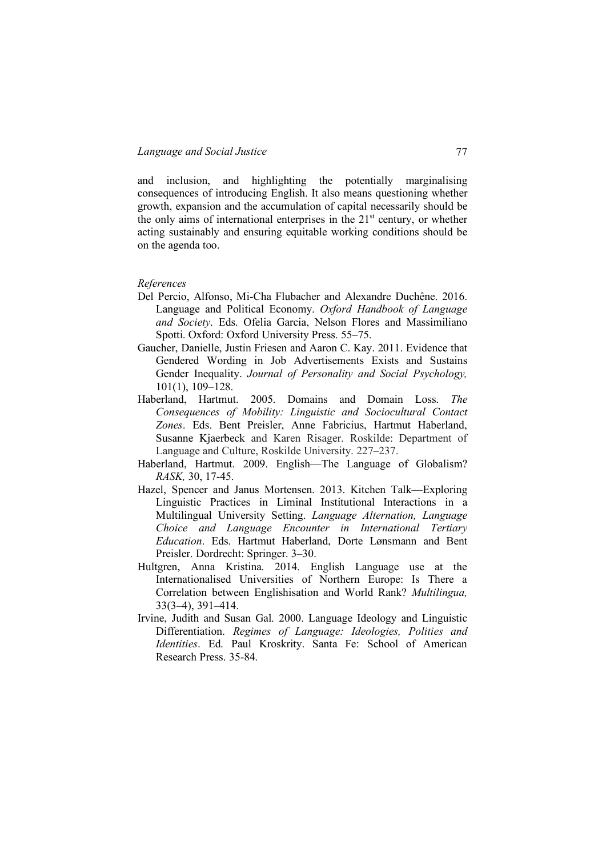and inclusion, and highlighting the potentially marginalising consequences of introducing English. It also means questioning whether growth, expansion and the accumulation of capital necessarily should be the only aims of international enterprises in the  $21<sup>st</sup>$  century, or whether acting sustainably and ensuring equitable working conditions should be on the agenda too.

## *References*

- Del Percio, Alfonso, Mi-Cha Flubacher and Alexandre Duchêne. 2016. Language and Political Economy. *Oxford Handbook of Language and Society*. Eds. Ofelia Garcia, Nelson Flores and Massimiliano Spotti. Oxford: Oxford University Press. 55–75.
- Gaucher, Danielle, Justin Friesen and Aaron C. Kay. 2011. Evidence that Gendered Wording in Job Advertisements Exists and Sustains Gender Inequality. *Journal of Personality and Social Psychology,* 101(1), 109–128.
- Haberland, Hartmut. 2005. Domains and Domain Loss. *The Consequences of Mobility: Linguistic and Sociocultural Contact Zones*. Eds. Bent Preisler, Anne Fabricius, Hartmut Haberland, Susanne Kjaerbeck and Karen Risager. Roskilde: Department of Language and Culture, Roskilde University. 227–237.
- Haberland, Hartmut. 2009. English—The Language of Globalism? *RASK,* 30, 17-45.
- Hazel, Spencer and Janus Mortensen. 2013. Kitchen Talk—Exploring Linguistic Practices in Liminal Institutional Interactions in a Multilingual University Setting. *Language Alternation, Language Choice and Language Encounter in International Tertiary Education*. Eds. Hartmut Haberland, Dorte Lønsmann and Bent Preisler. Dordrecht: Springer. 3–30.
- Hultgren, Anna Kristina. 2014. English Language use at the Internationalised Universities of Northern Europe: Is There a Correlation between Englishisation and World Rank? *Multilingua,* 33(3–4), 391–414.
- Irvine, Judith and Susan Gal. 2000. Language Ideology and Linguistic Differentiation. *Regimes of Language: Ideologies, Polities and Identities*. Ed. Paul Kroskrity. Santa Fe: School of American Research Press. 35-84.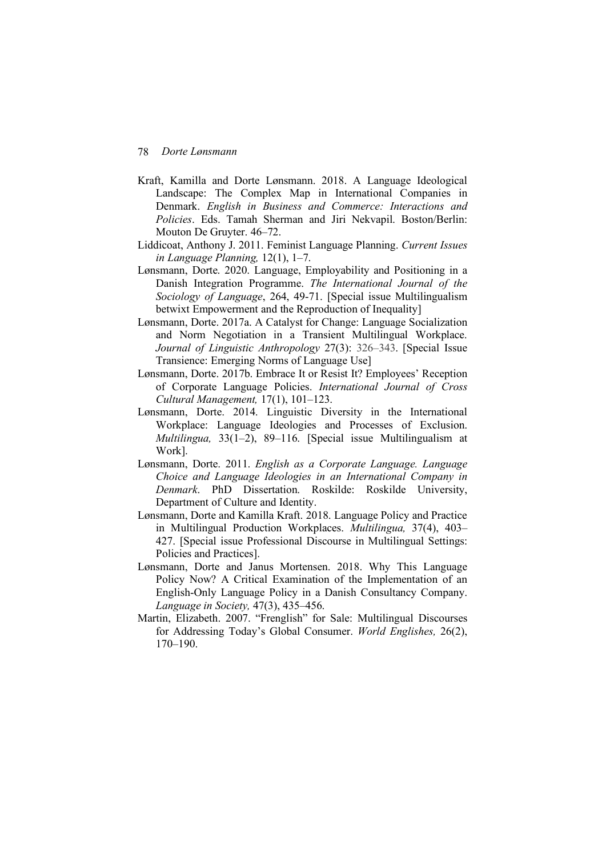- Kraft, Kamilla and Dorte Lønsmann. 2018. A Language Ideological Landscape: The Complex Map in International Companies in Denmark. *English in Business and Commerce: Interactions and Policies*. Eds. Tamah Sherman and Jiri Nekvapil. Boston/Berlin: Mouton De Gruyter. 46–72.
- Liddicoat, Anthony J. 2011. Feminist Language Planning. *Current Issues in Language Planning,* 12(1), 1–7.
- Lønsmann, Dorte. 2020. Language, Employability and Positioning in a Danish Integration Programme. *The International Journal of the Sociology of Language*, 264, 49-71. [Special issue Multilingualism betwixt Empowerment and the Reproduction of Inequality]
- Lønsmann, Dorte. 2017a. A Catalyst for Change: Language Socialization and Norm Negotiation in a Transient Multilingual Workplace. *Journal of Linguistic Anthropology* 27(3): 326–343. [Special Issue Transience: Emerging Norms of Language Use]
- Lønsmann, Dorte. 2017b. Embrace It or Resist It? Employees' Reception of Corporate Language Policies. *International Journal of Cross Cultural Management,* 17(1), 101–123.
- Lønsmann, Dorte. 2014. Linguistic Diversity in the International Workplace: Language Ideologies and Processes of Exclusion. *Multilingua,* 33(1–2), 89–116. [Special issue Multilingualism at Work].
- Lønsmann, Dorte. 2011. *English as a Corporate Language. Language Choice and Language Ideologies in an International Company in Denmark*. PhD Dissertation. Roskilde: Roskilde University, Department of Culture and Identity.
- Lønsmann, Dorte and Kamilla Kraft. 2018. Language Policy and Practice in Multilingual Production Workplaces. *Multilingua,* 37(4), 403– 427. [Special issue Professional Discourse in Multilingual Settings: Policies and Practices].
- Lønsmann, Dorte and Janus Mortensen. 2018. Why This Language Policy Now? A Critical Examination of the Implementation of an English-Only Language Policy in a Danish Consultancy Company. *Language in Society,* 47(3), 435–456.
- Martin, Elizabeth. 2007. "Frenglish" for Sale: Multilingual Discourses for Addressing Today's Global Consumer. *World Englishes,* 26(2), 170–190.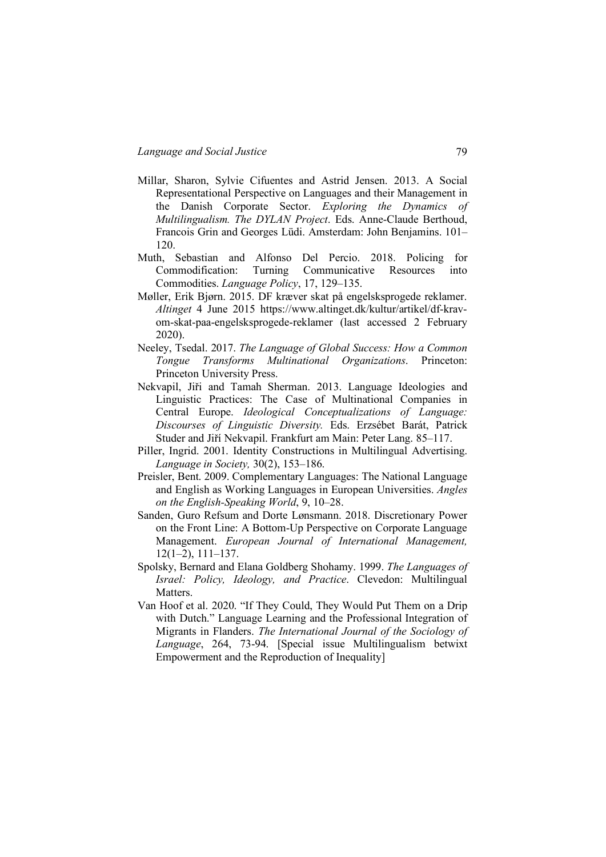- Millar, Sharon, Sylvie Cifuentes and Astrid Jensen. 2013. A Social Representational Perspective on Languages and their Management in the Danish Corporate Sector. *Exploring the Dynamics of Multilingualism. The DYLAN Project*. Eds. Anne-Claude Berthoud, Francois Grin and Georges Lüdi. Amsterdam: John Benjamins. 101– 120.
- Muth, Sebastian and Alfonso Del Percio. 2018. Policing for Commodification: Turning Communicative Resources into Commodities. *Language Policy*, 17, 129–135.
- Møller, Erik Bjørn. 2015. DF kræver skat på engelsksprogede reklamer. *Altinget* 4 June 2015 https://www.altinget.dk/kultur/artikel/df-kravom-skat-paa-engelsksprogede-reklamer (last accessed 2 February 2020).
- Neeley, Tsedal. 2017. *The Language of Global Success: How a Common Tongue Transforms Multinational Organizations*. Princeton: Princeton University Press.
- Nekvapil, Jiři and Tamah Sherman. 2013. Language Ideologies and Linguistic Practices: The Case of Multinational Companies in Central Europe. *Ideological Conceptualizations of Language: Discourses of Linguistic Diversity.* Eds. Erzsébet Barát, Patrick Studer and Jiří Nekvapil. Frankfurt am Main: Peter Lang. 85–117.
- Piller, Ingrid. 2001. Identity Constructions in Multilingual Advertising. *Language in Society,* 30(2), 153–186.
- Preisler, Bent. 2009. Complementary Languages: The National Language and English as Working Languages in European Universities. *Angles on the English-Speaking World*, 9, 10–28.
- Sanden, Guro Refsum and Dorte Lønsmann. 2018. Discretionary Power on the Front Line: A Bottom-Up Perspective on Corporate Language Management. *European Journal of International Management,* 12(1–2), 111–137.
- Spolsky, Bernard and Elana Goldberg Shohamy. 1999. *The Languages of Israel: Policy, Ideology, and Practice*. Clevedon: Multilingual **Matters**
- Van Hoof et al. 2020. "If They Could, They Would Put Them on a Drip with Dutch." Language Learning and the Professional Integration of Migrants in Flanders. *The International Journal of the Sociology of Language*, 264, 73-94. [Special issue Multilingualism betwixt Empowerment and the Reproduction of Inequality]